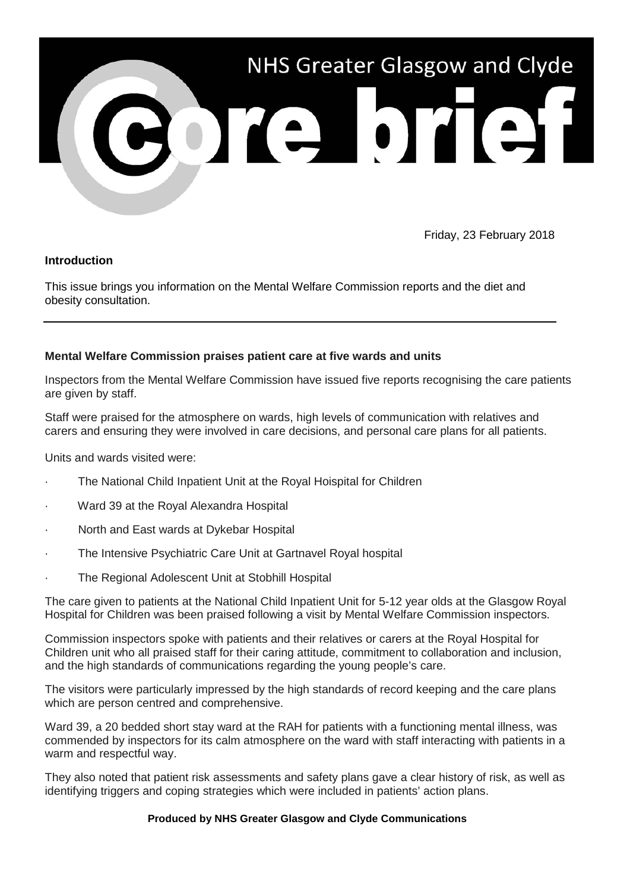

Friday, 23 February 2018

### **Introduction**

This issue brings you information on the Mental Welfare Commission reports and the diet and obesity consultation.

# **Mental Welfare Commission praises patient care at five wards and units**

Inspectors from the Mental Welfare Commission have issued five reports recognising the care patients are given by staff.

Staff were praised for the atmosphere on wards, high levels of communication with relatives and carers and ensuring they were involved in care decisions, and personal care plans for all patients.

Units and wards visited were:

- The National Child Inpatient Unit at the Royal Hoispital for Children
- · Ward 39 at the Royal Alexandra Hospital
- North and East wards at Dykebar Hospital
- The Intensive Psychiatric Care Unit at Gartnavel Royal hospital
- The Regional Adolescent Unit at Stobhill Hospital

The care given to patients at the National Child Inpatient Unit for 5-12 year olds at the Glasgow Royal Hospital for Children was been praised following a visit by Mental Welfare Commission inspectors.

Commission inspectors spoke with patients and their relatives or carers at the Royal Hospital for Children unit who all praised staff for their caring attitude, commitment to collaboration and inclusion, and the high standards of communications regarding the young people's care.

The visitors were particularly impressed by the high standards of record keeping and the care plans which are person centred and comprehensive.

Ward 39, a 20 bedded short stay ward at the RAH for patients with a functioning mental illness, was commended by inspectors for its calm atmosphere on the ward with staff interacting with patients in a warm and respectful way.

They also noted that patient risk assessments and safety plans gave a clear history of risk, as well as identifying triggers and coping strategies which were included in patients' action plans.

#### **Produced by NHS Greater Glasgow and Clyde Communications**